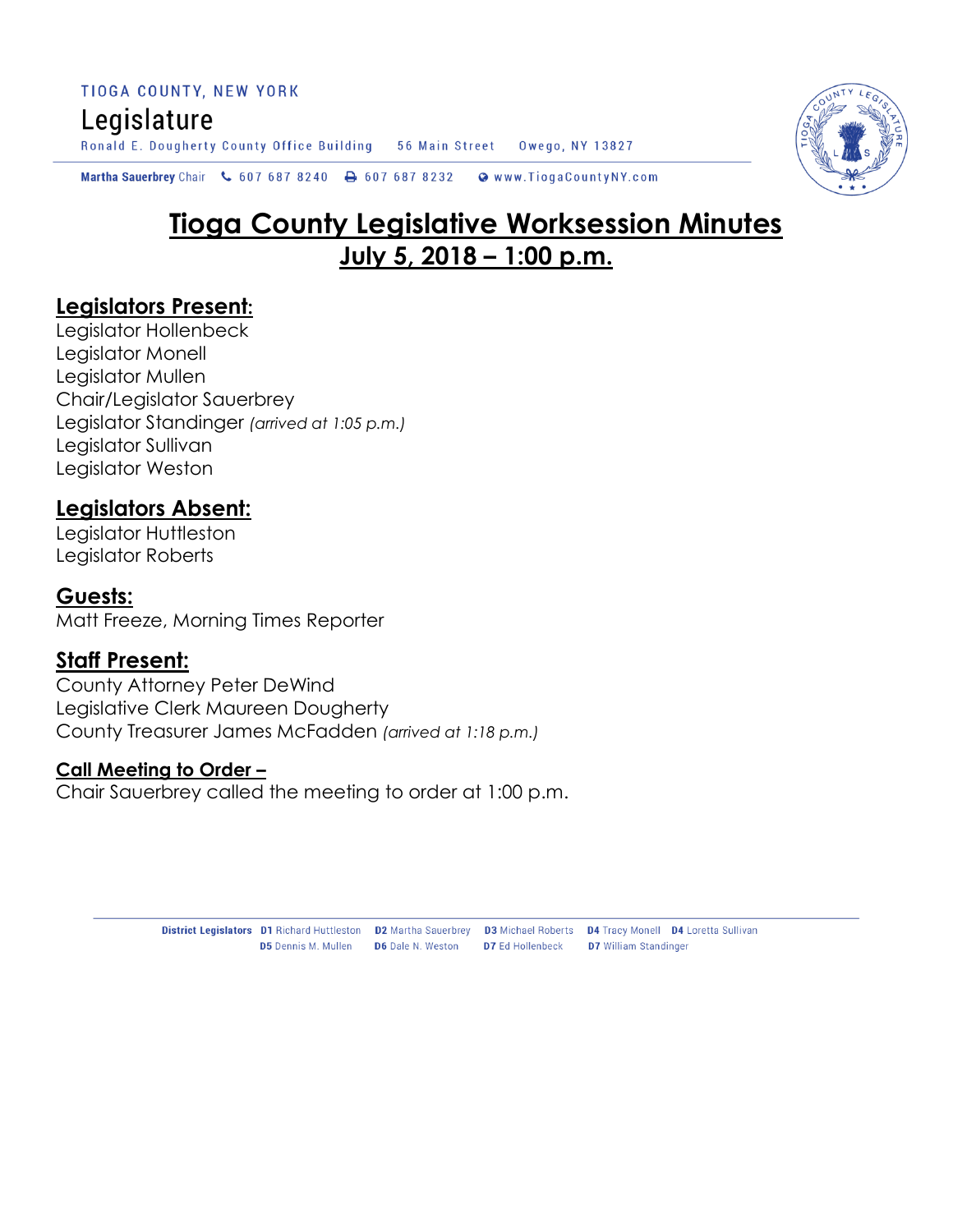TIOGA COUNTY, NEW YORK Legislature Ronald E. Dougherty County Office Building 56 Main Street Owego, NY 13827

Martha Sauerbrey Chair & 607 687 8240  $\rightarrow$  607 687 8232 Www.TiogaCountyNY.com

# **Tioga County Legislative Worksession Minutes July 5, 2018 – 1:00 p.m.**

#### **Legislators Present:**

Legislator Hollenbeck Legislator Monell Legislator Mullen Chair/Legislator Sauerbrey Legislator Standinger *(arrived at 1:05 p.m.)* Legislator Sullivan Legislator Weston

# **Legislators Absent:**

Legislator Huttleston Legislator Roberts

#### **Guests:**

Matt Freeze, Morning Times Reporter

#### **Staff Present:**

County Attorney Peter DeWind Legislative Clerk Maureen Dougherty County Treasurer James McFadden *(arrived at 1:18 p.m.)*

#### **Call Meeting to Order –**

Chair Sauerbrey called the meeting to order at 1:00 p.m.



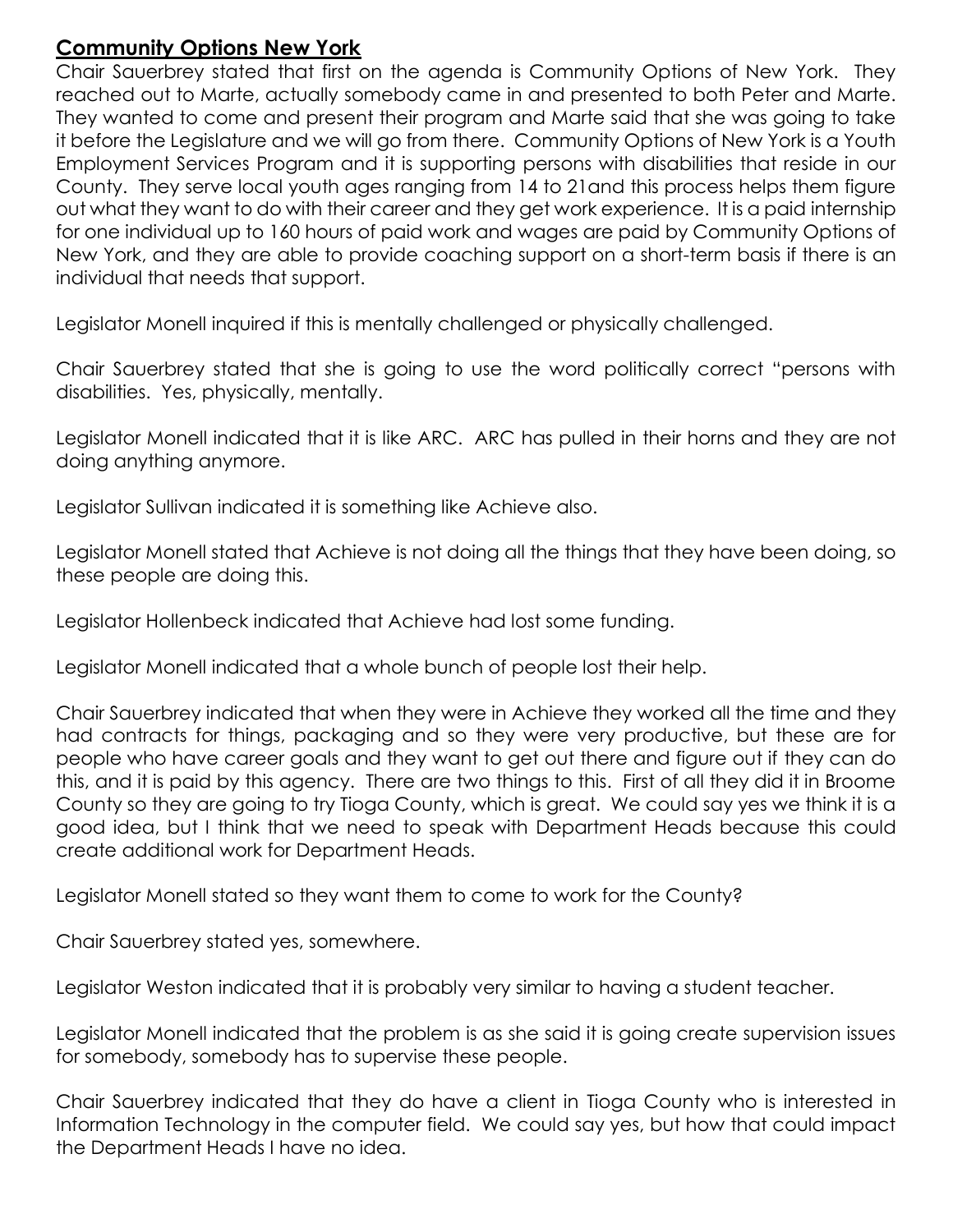### **Community Options New York**

Chair Sauerbrey stated that first on the agenda is Community Options of New York. They reached out to Marte, actually somebody came in and presented to both Peter and Marte. They wanted to come and present their program and Marte said that she was going to take it before the Legislature and we will go from there. Community Options of New York is a Youth Employment Services Program and it is supporting persons with disabilities that reside in our County. They serve local youth ages ranging from 14 to 21and this process helps them figure out what they want to do with their career and they get work experience. It is a paid internship for one individual up to 160 hours of paid work and wages are paid by Community Options of New York, and they are able to provide coaching support on a short-term basis if there is an individual that needs that support.

Legislator Monell inquired if this is mentally challenged or physically challenged.

Chair Sauerbrey stated that she is going to use the word politically correct "persons with disabilities. Yes, physically, mentally.

Legislator Monell indicated that it is like ARC. ARC has pulled in their horns and they are not doing anything anymore.

Legislator Sullivan indicated it is something like Achieve also.

Legislator Monell stated that Achieve is not doing all the things that they have been doing, so these people are doing this.

Legislator Hollenbeck indicated that Achieve had lost some funding.

Legislator Monell indicated that a whole bunch of people lost their help.

Chair Sauerbrey indicated that when they were in Achieve they worked all the time and they had contracts for things, packaging and so they were very productive, but these are for people who have career goals and they want to get out there and figure out if they can do this, and it is paid by this agency. There are two things to this. First of all they did it in Broome County so they are going to try Tioga County, which is great. We could say yes we think it is a good idea, but I think that we need to speak with Department Heads because this could create additional work for Department Heads.

Legislator Monell stated so they want them to come to work for the County?

Chair Sauerbrey stated yes, somewhere.

Legislator Weston indicated that it is probably very similar to having a student teacher.

Legislator Monell indicated that the problem is as she said it is going create supervision issues for somebody, somebody has to supervise these people.

Chair Sauerbrey indicated that they do have a client in Tioga County who is interested in Information Technology in the computer field. We could say yes, but how that could impact the Department Heads I have no idea.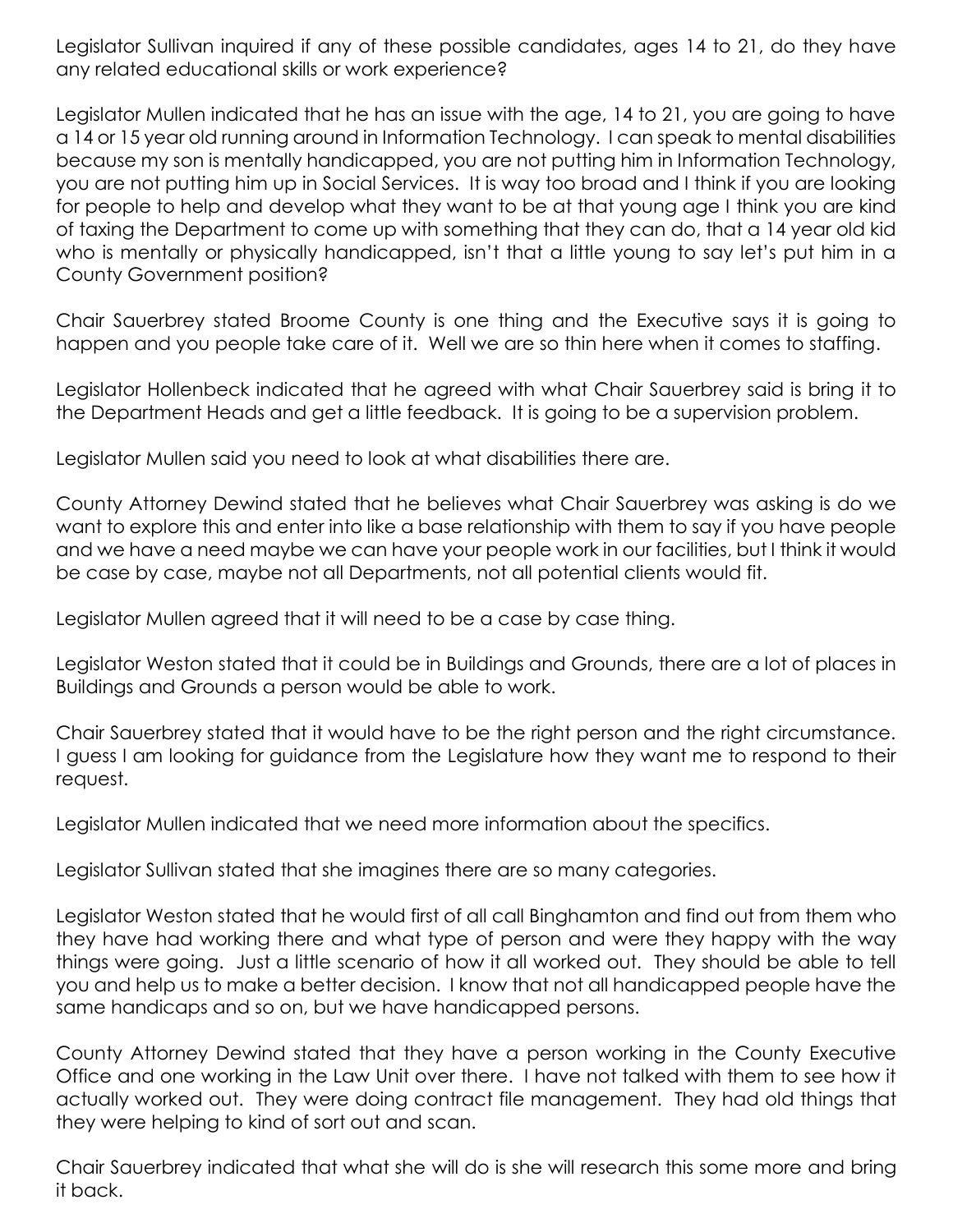Legislator Sullivan inquired if any of these possible candidates, ages 14 to 21, do they have any related educational skills or work experience?

Legislator Mullen indicated that he has an issue with the age, 14 to 21, you are going to have a 14 or 15 year old running around in Information Technology. I can speak to mental disabilities because my son is mentally handicapped, you are not putting him in Information Technology, you are not putting him up in Social Services. It is way too broad and I think if you are looking for people to help and develop what they want to be at that young age I think you are kind of taxing the Department to come up with something that they can do, that a 14 year old kid who is mentally or physically handicapped, isn't that a little young to say let's put him in a County Government position?

Chair Sauerbrey stated Broome County is one thing and the Executive says it is going to happen and you people take care of it. Well we are so thin here when it comes to staffing.

Legislator Hollenbeck indicated that he agreed with what Chair Sauerbrey said is bring it to the Department Heads and get a little feedback. It is going to be a supervision problem.

Legislator Mullen said you need to look at what disabilities there are.

County Attorney Dewind stated that he believes what Chair Sauerbrey was asking is do we want to explore this and enter into like a base relationship with them to say if you have people and we have a need maybe we can have your people work in our facilities, but I think it would be case by case, maybe not all Departments, not all potential clients would fit.

Legislator Mullen agreed that it will need to be a case by case thing.

Legislator Weston stated that it could be in Buildings and Grounds, there are a lot of places in Buildings and Grounds a person would be able to work.

Chair Sauerbrey stated that it would have to be the right person and the right circumstance. I guess I am looking for guidance from the Legislature how they want me to respond to their request.

Legislator Mullen indicated that we need more information about the specifics.

Legislator Sullivan stated that she imagines there are so many categories.

Legislator Weston stated that he would first of all call Binghamton and find out from them who they have had working there and what type of person and were they happy with the way things were going. Just a little scenario of how it all worked out. They should be able to tell you and help us to make a better decision. I know that not all handicapped people have the same handicaps and so on, but we have handicapped persons.

County Attorney Dewind stated that they have a person working in the County Executive Office and one working in the Law Unit over there. I have not talked with them to see how it actually worked out. They were doing contract file management. They had old things that they were helping to kind of sort out and scan.

Chair Sauerbrey indicated that what she will do is she will research this some more and bring it back.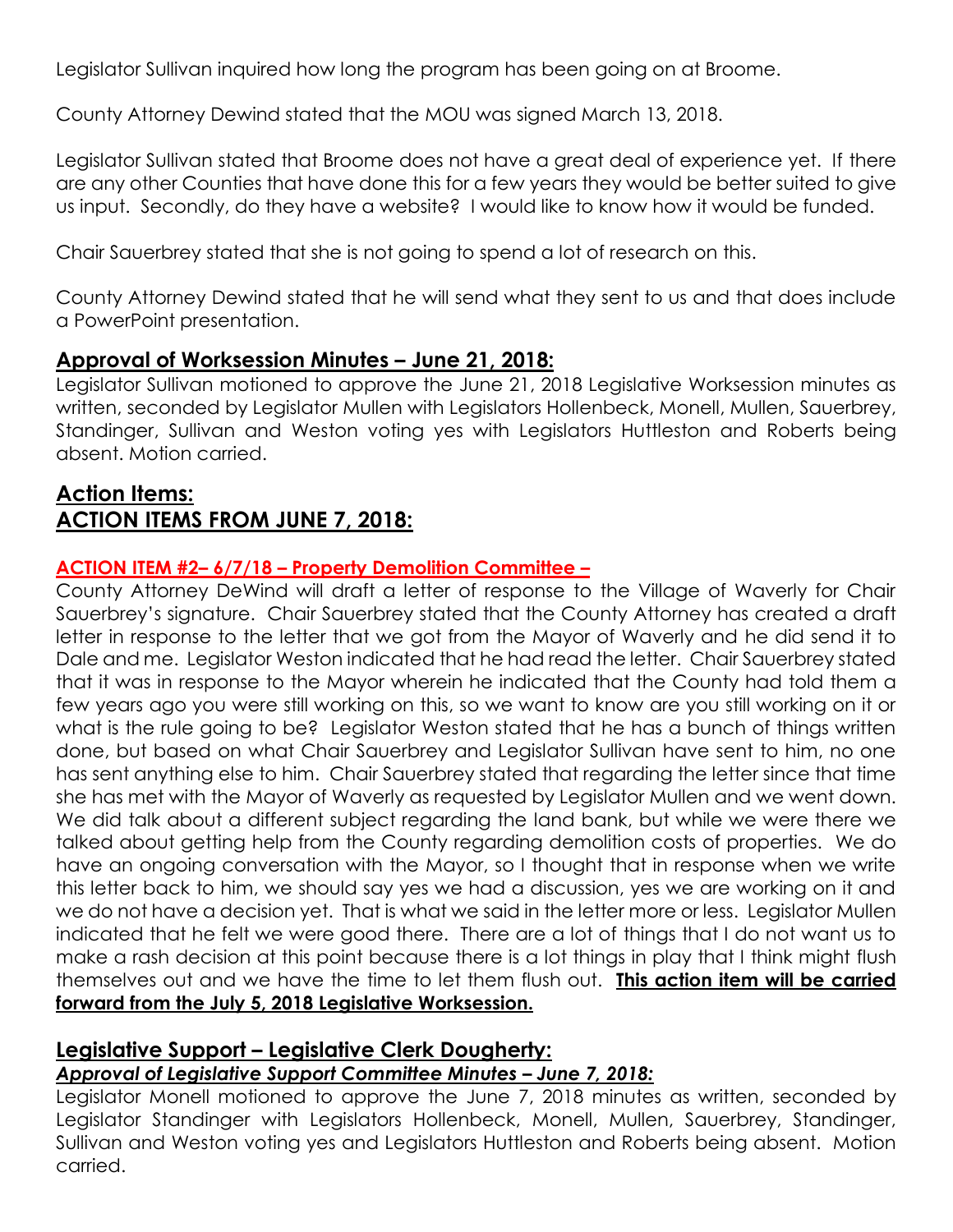Legislator Sullivan inquired how long the program has been going on at Broome.

County Attorney Dewind stated that the MOU was signed March 13, 2018.

Legislator Sullivan stated that Broome does not have a great deal of experience yet. If there are any other Counties that have done this for a few years they would be better suited to give us input. Secondly, do they have a website? I would like to know how it would be funded.

Chair Sauerbrey stated that she is not going to spend a lot of research on this.

County Attorney Dewind stated that he will send what they sent to us and that does include a PowerPoint presentation.

### **Approval of Worksession Minutes – June 21, 2018:**

Legislator Sullivan motioned to approve the June 21, 2018 Legislative Worksession minutes as written, seconded by Legislator Mullen with Legislators Hollenbeck, Monell, Mullen, Sauerbrey, Standinger, Sullivan and Weston voting yes with Legislators Huttleston and Roberts being absent. Motion carried.

# **Action Items: ACTION ITEMS FROM JUNE 7, 2018:**

#### **ACTION ITEM #2– 6/7/18 – Property Demolition Committee –**

County Attorney DeWind will draft a letter of response to the Village of Waverly for Chair Sauerbrey's signature. Chair Sauerbrey stated that the County Attorney has created a draft letter in response to the letter that we got from the Mayor of Waverly and he did send it to Dale and me. Legislator Weston indicated that he had read the letter. Chair Sauerbrey stated that it was in response to the Mayor wherein he indicated that the County had told them a few years ago you were still working on this, so we want to know are you still working on it or what is the rule going to be? Legislator Weston stated that he has a bunch of things written done, but based on what Chair Sauerbrey and Legislator Sullivan have sent to him, no one has sent anything else to him. Chair Sauerbrey stated that regarding the letter since that time she has met with the Mayor of Waverly as requested by Legislator Mullen and we went down. We did talk about a different subject regarding the land bank, but while we were there we talked about getting help from the County regarding demolition costs of properties. We do have an ongoing conversation with the Mayor, so I thought that in response when we write this letter back to him, we should say yes we had a discussion, yes we are working on it and we do not have a decision yet. That is what we said in the letter more or less. Legislator Mullen indicated that he felt we were good there. There are a lot of things that I do not want us to make a rash decision at this point because there is a lot things in play that I think might flush themselves out and we have the time to let them flush out. **This action item will be carried forward from the July 5, 2018 Legislative Worksession.** 

# **Legislative Support – Legislative Clerk Dougherty:**

#### *Approval of Legislative Support Committee Minutes – June 7, 2018:*

Legislator Monell motioned to approve the June 7, 2018 minutes as written, seconded by Legislator Standinger with Legislators Hollenbeck, Monell, Mullen, Sauerbrey, Standinger, Sullivan and Weston voting yes and Legislators Huttleston and Roberts being absent. Motion carried.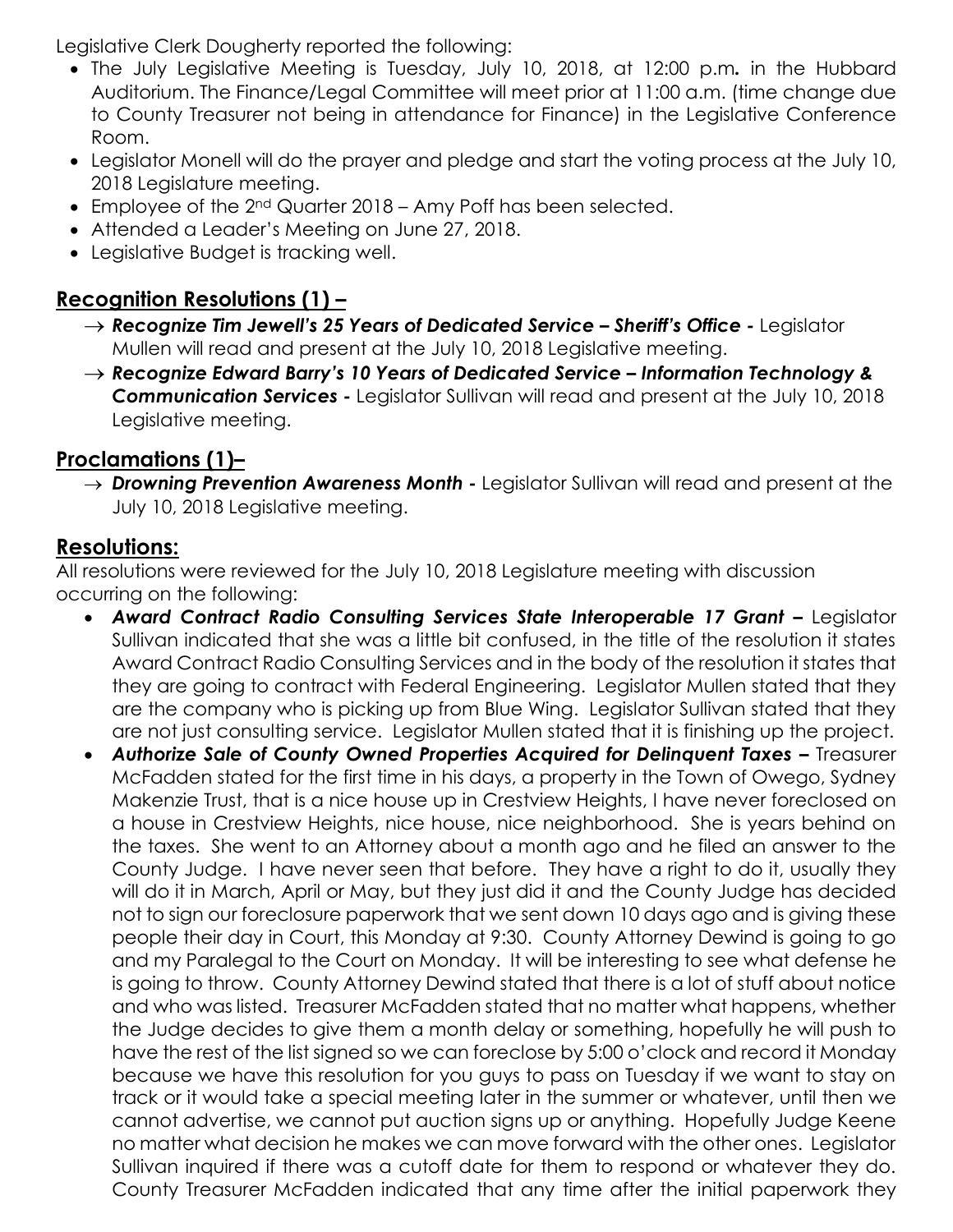Legislative Clerk Dougherty reported the following:

- The July Legislative Meeting is Tuesday, July 10, 2018, at 12:00 p.m*.* in the Hubbard Auditorium. The Finance/Legal Committee will meet prior at 11:00 a.m. (time change due to County Treasurer not being in attendance for Finance) in the Legislative Conference Room.
- Legislator Monell will do the prayer and pledge and start the voting process at the July 10, 2018 Legislature meeting.
- Employee of the 2<sup>nd</sup> Quarter 2018 Amy Poff has been selected.
- Attended a Leader's Meeting on June 27, 2018.
- Legislative Budget is tracking well.

# **Recognition Resolutions (1) –**

- *Recognize Tim Jewell's 25 Years of Dedicated Service – Sheriff's Office -* Legislator Mullen will read and present at the July 10, 2018 Legislative meeting.
- *Recognize Edward Barry's 10 Years of Dedicated Service – Information Technology & Communication Services -* Legislator Sullivan will read and present at the July 10, 2018 Legislative meeting.

# **Proclamations (1)–**

 *Drowning Prevention Awareness Month -* Legislator Sullivan will read and present at the July 10, 2018 Legislative meeting.

# **Resolutions:**

All resolutions were reviewed for the July 10, 2018 Legislature meeting with discussion occurring on the following:

- *Award Contract Radio Consulting Services State Interoperable 17 Grant –* Legislator Sullivan indicated that she was a little bit confused, in the title of the resolution it states Award Contract Radio Consulting Services and in the body of the resolution it states that they are going to contract with Federal Engineering. Legislator Mullen stated that they are the company who is picking up from Blue Wing. Legislator Sullivan stated that they are not just consulting service. Legislator Mullen stated that it is finishing up the project.
- **Authorize Sale of County Owned Properties Acquired for Delinguent Taxes Treasurer** McFadden stated for the first time in his days, a property in the Town of Owego, Sydney Makenzie Trust, that is a nice house up in Crestview Heights, I have never foreclosed on a house in Crestview Heights, nice house, nice neighborhood. She is years behind on the taxes. She went to an Attorney about a month ago and he filed an answer to the County Judge. I have never seen that before. They have a right to do it, usually they will do it in March, April or May, but they just did it and the County Judge has decided not to sign our foreclosure paperwork that we sent down 10 days ago and is giving these people their day in Court, this Monday at 9:30. County Attorney Dewind is going to go and my Paralegal to the Court on Monday. It will be interesting to see what defense he is going to throw. County Attorney Dewind stated that there is a lot of stuff about notice and who was listed. Treasurer McFadden stated that no matter what happens, whether the Judge decides to give them a month delay or something, hopefully he will push to have the rest of the list signed so we can foreclose by 5:00 o'clock and record it Monday because we have this resolution for you guys to pass on Tuesday if we want to stay on track or it would take a special meeting later in the summer or whatever, until then we cannot advertise, we cannot put auction signs up or anything. Hopefully Judge Keene no matter what decision he makes we can move forward with the other ones. Legislator Sullivan inquired if there was a cutoff date for them to respond or whatever they do. County Treasurer McFadden indicated that any time after the initial paperwork they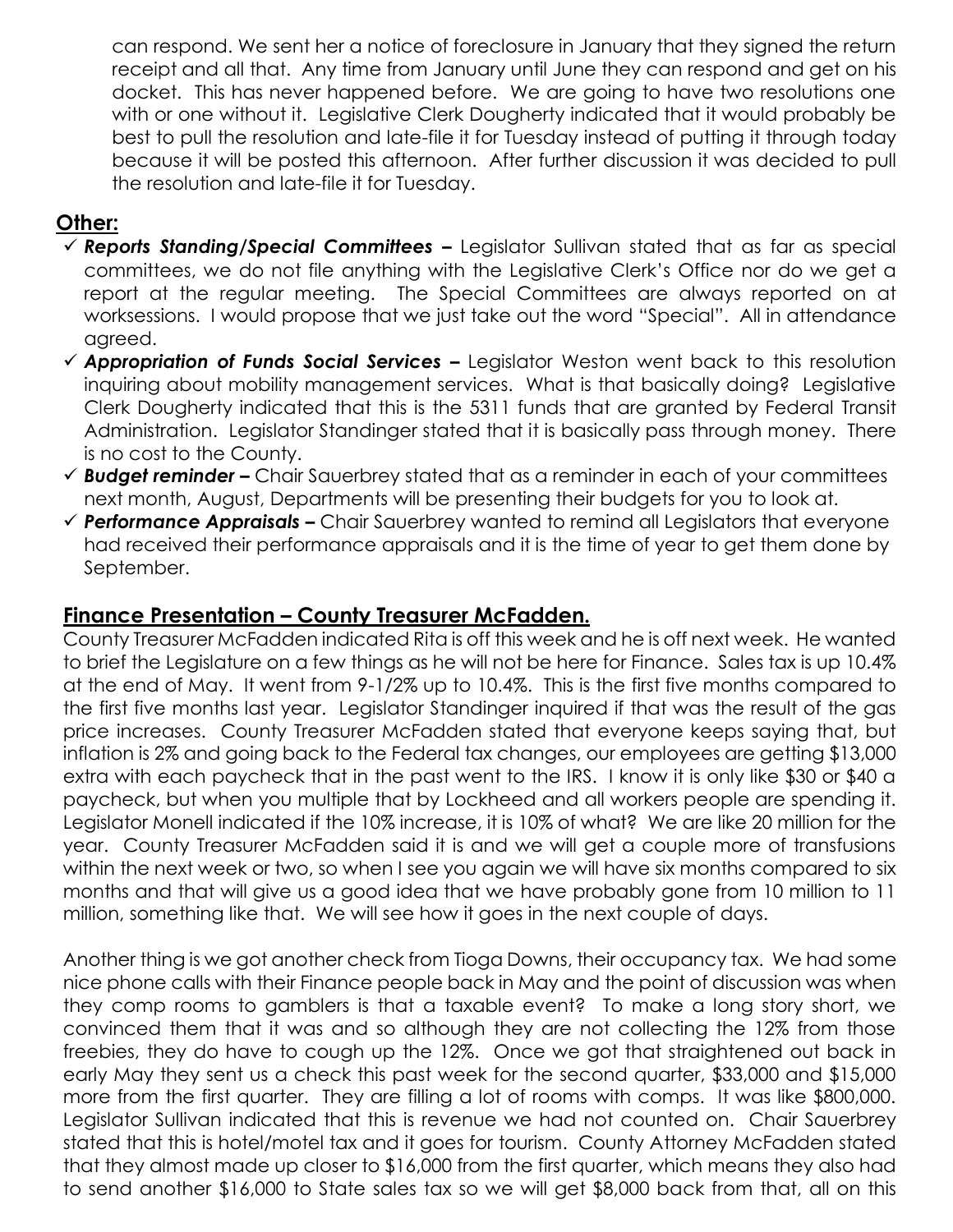can respond. We sent her a notice of foreclosure in January that they signed the return receipt and all that. Any time from January until June they can respond and get on his docket. This has never happened before. We are going to have two resolutions one with or one without it. Legislative Clerk Dougherty indicated that it would probably be best to pull the resolution and late-file it for Tuesday instead of putting it through today because it will be posted this afternoon. After further discussion it was decided to pull the resolution and late-file it for Tuesday.

# **Other:**

- *Reports Standing/Special Committees –* Legislator Sullivan stated that as far as special committees, we do not file anything with the Legislative Clerk's Office nor do we get a report at the regular meeting. The Special Committees are always reported on at worksessions. I would propose that we just take out the word "Special". All in attendance agreed.
- *Appropriation of Funds Social Services –* Legislator Weston went back to this resolution inquiring about mobility management services. What is that basically doing? Legislative Clerk Dougherty indicated that this is the 5311 funds that are granted by Federal Transit Administration. Legislator Standinger stated that it is basically pass through money. There is no cost to the County.
- *Budget reminder –* Chair Sauerbrey stated that as a reminder in each of your committees next month, August, Departments will be presenting their budgets for you to look at.
- *Performance Appraisals –* Chair Sauerbrey wanted to remind all Legislators that everyone had received their performance appraisals and it is the time of year to get them done by September.

# **Finance Presentation – County Treasurer McFadden.**

County Treasurer McFadden indicated Rita is off this week and he is off next week. He wanted to brief the Legislature on a few things as he will not be here for Finance. Sales tax is up 10.4% at the end of May. It went from 9-1/2% up to 10.4%. This is the first five months compared to the first five months last year. Legislator Standinger inquired if that was the result of the gas price increases. County Treasurer McFadden stated that everyone keeps saying that, but inflation is 2% and going back to the Federal tax changes, our employees are getting \$13,000 extra with each paycheck that in the past went to the IRS. I know it is only like \$30 or \$40 a paycheck, but when you multiple that by Lockheed and all workers people are spending it. Legislator Monell indicated if the 10% increase, it is 10% of what? We are like 20 million for the year. County Treasurer McFadden said it is and we will get a couple more of transfusions within the next week or two, so when I see you again we will have six months compared to six months and that will give us a good idea that we have probably gone from 10 million to 11 million, something like that. We will see how it goes in the next couple of days.

Another thing is we got another check from Tioga Downs, their occupancy tax. We had some nice phone calls with their Finance people back in May and the point of discussion was when they comp rooms to gamblers is that a taxable event? To make a long story short, we convinced them that it was and so although they are not collecting the 12% from those freebies, they do have to cough up the 12%. Once we got that straightened out back in early May they sent us a check this past week for the second quarter, \$33,000 and \$15,000 more from the first quarter. They are filling a lot of rooms with comps. It was like \$800,000. Legislator Sullivan indicated that this is revenue we had not counted on. Chair Sauerbrey stated that this is hotel/motel tax and it goes for tourism. County Attorney McFadden stated that they almost made up closer to \$16,000 from the first quarter, which means they also had to send another \$16,000 to State sales tax so we will get \$8,000 back from that, all on this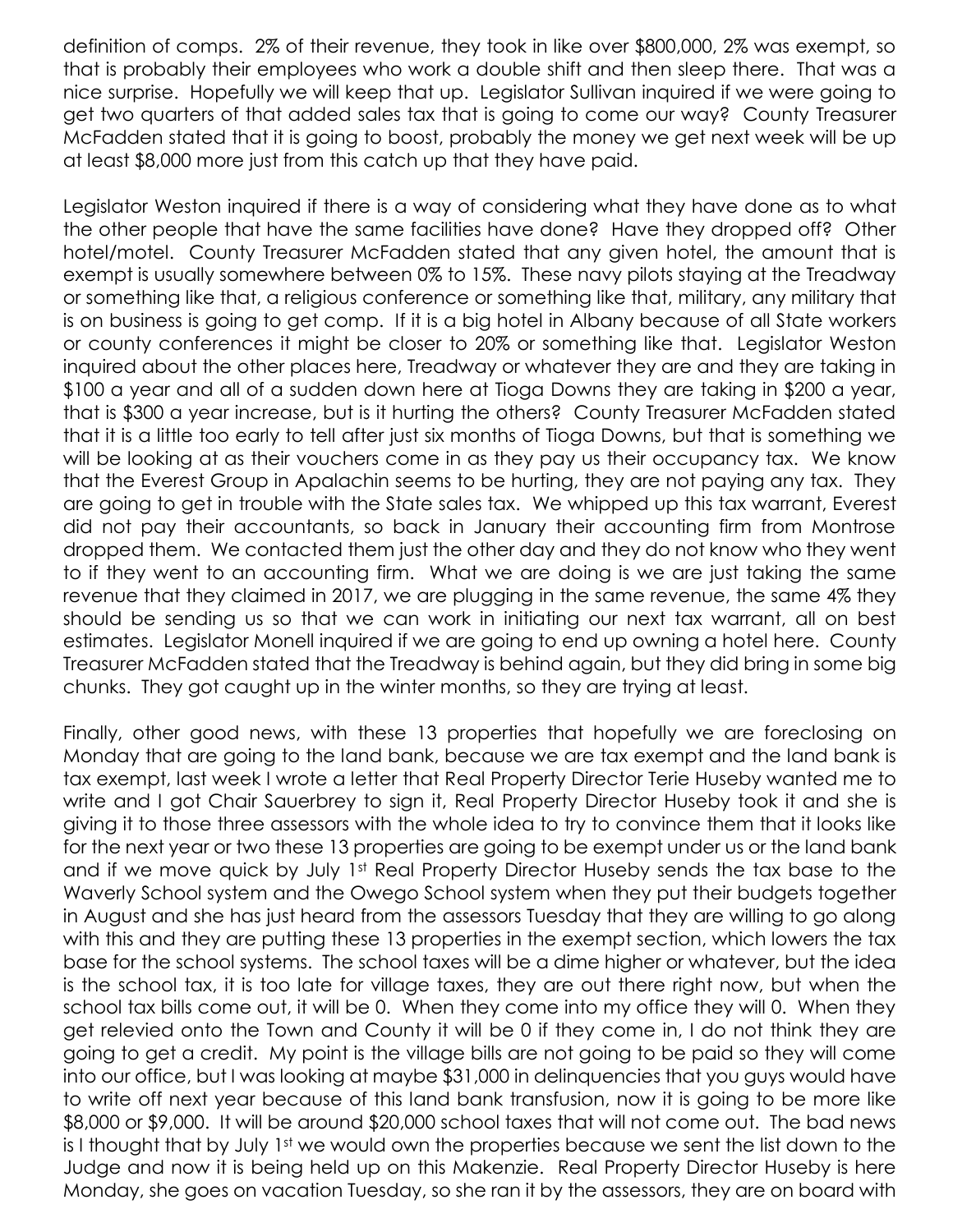definition of comps. 2% of their revenue, they took in like over \$800,000, 2% was exempt, so that is probably their employees who work a double shift and then sleep there. That was a nice surprise. Hopefully we will keep that up. Legislator Sullivan inquired if we were going to get two quarters of that added sales tax that is going to come our way? County Treasurer McFadden stated that it is going to boost, probably the money we get next week will be up at least \$8,000 more just from this catch up that they have paid.

Legislator Weston inquired if there is a way of considering what they have done as to what the other people that have the same facilities have done? Have they dropped off? Other hotel/motel. County Treasurer McFadden stated that any given hotel, the amount that is exempt is usually somewhere between 0% to 15%. These navy pilots staying at the Treadway or something like that, a religious conference or something like that, military, any military that is on business is going to get comp. If it is a big hotel in Albany because of all State workers or county conferences it might be closer to 20% or something like that. Legislator Weston inquired about the other places here, Treadway or whatever they are and they are taking in \$100 a year and all of a sudden down here at Tioga Downs they are taking in \$200 a year, that is \$300 a year increase, but is it hurting the others? County Treasurer McFadden stated that it is a little too early to tell after just six months of Tioga Downs, but that is something we will be looking at as their vouchers come in as they pay us their occupancy tax. We know that the Everest Group in Apalachin seems to be hurting, they are not paying any tax. They are going to get in trouble with the State sales tax. We whipped up this tax warrant, Everest did not pay their accountants, so back in January their accounting firm from Montrose dropped them. We contacted them just the other day and they do not know who they went to if they went to an accounting firm. What we are doing is we are just taking the same revenue that they claimed in 2017, we are plugging in the same revenue, the same 4% they should be sending us so that we can work in initiating our next tax warrant, all on best estimates. Legislator Monell inquired if we are going to end up owning a hotel here. County Treasurer McFadden stated that the Treadway is behind again, but they did bring in some big chunks. They got caught up in the winter months, so they are trying at least.

Finally, other good news, with these 13 properties that hopefully we are foreclosing on Monday that are going to the land bank, because we are tax exempt and the land bank is tax exempt, last week I wrote a letter that Real Property Director Terie Huseby wanted me to write and I got Chair Sauerbrey to sign it, Real Property Director Huseby took it and she is giving it to those three assessors with the whole idea to try to convince them that it looks like for the next year or two these 13 properties are going to be exempt under us or the land bank and if we move quick by July 1st Real Property Director Huseby sends the tax base to the Waverly School system and the Owego School system when they put their budgets together in August and she has just heard from the assessors Tuesday that they are willing to go along with this and they are putting these 13 properties in the exempt section, which lowers the tax base for the school systems. The school taxes will be a dime higher or whatever, but the idea is the school tax, it is too late for village taxes, they are out there right now, but when the school tax bills come out, it will be 0. When they come into my office they will 0. When they get relevied onto the Town and County it will be 0 if they come in, I do not think they are going to get a credit. My point is the village bills are not going to be paid so they will come into our office, but I was looking at maybe \$31,000 in delinquencies that you guys would have to write off next year because of this land bank transfusion, now it is going to be more like \$8,000 or \$9,000. It will be around \$20,000 school taxes that will not come out. The bad news is I thought that by July 1st we would own the properties because we sent the list down to the Judge and now it is being held up on this Makenzie. Real Property Director Huseby is here Monday, she goes on vacation Tuesday, so she ran it by the assessors, they are on board with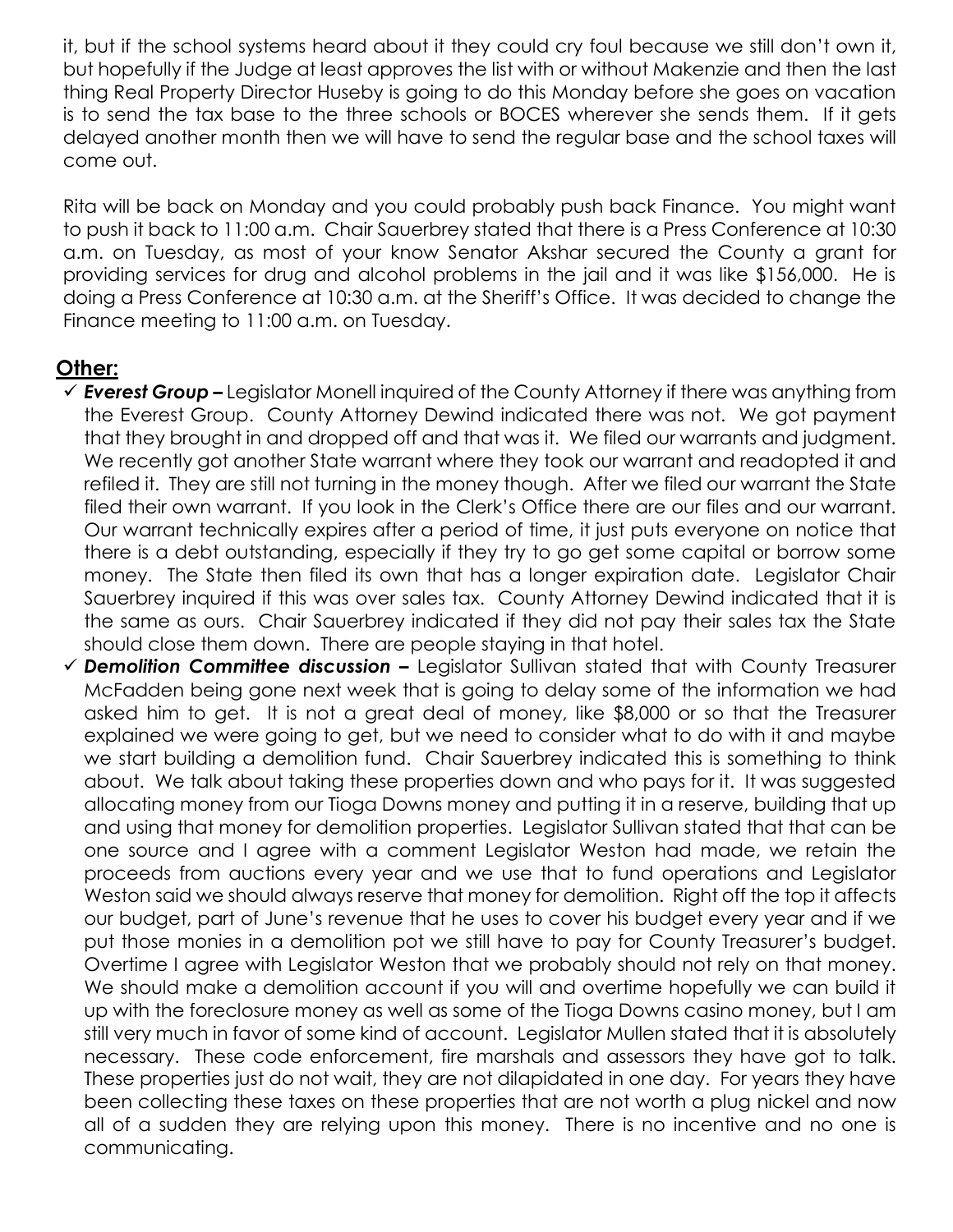it, but if the school systems heard about it they could cry foul because we still don't own it, but hopefully if the Judge at least approves the list with or without Makenzie and then the last thing Real Property Director Huseby is going to do this Monday before she goes on vacation is to send the tax base to the three schools or BOCES wherever she sends them. If it gets delayed another month then we will have to send the regular base and the school taxes will come out.

Rita will be back on Monday and you could probably push back Finance. You might want to push it back to 11:00 a.m. Chair Sauerbrey stated that there is a Press Conference at 10:30 a.m. on Tuesday, as most of your know Senator Akshar secured the County a grant for providing services for drug and alcohol problems in the jail and it was like \$156,000. He is doing a Press Conference at 10:30 a.m. at the Sheriff's Office. It was decided to change the Finance meeting to 11:00 a.m. on Tuesday.

#### **Other:**

- *Everest Group –* Legislator Monell inquired of the County Attorney if there was anything from the Everest Group. County Attorney Dewind indicated there was not. We got payment that they brought in and dropped off and that was it. We filed our warrants and judgment. We recently got another State warrant where they took our warrant and readopted it and refiled it. They are still not turning in the money though. After we filed our warrant the State filed their own warrant. If you look in the Clerk's Office there are our files and our warrant. Our warrant technically expires after a period of time, it just puts everyone on notice that there is a debt outstanding, especially if they try to go get some capital or borrow some money. The State then filed its own that has a longer expiration date. Legislator Chair Sauerbrey inquired if this was over sales tax. County Attorney Dewind indicated that it is the same as ours. Chair Sauerbrey indicated if they did not pay their sales tax the State should close them down. There are people staying in that hotel.
- *Demolition Committee discussion –* Legislator Sullivan stated that with County Treasurer McFadden being gone next week that is going to delay some of the information we had asked him to get. It is not a great deal of money, like \$8,000 or so that the Treasurer explained we were going to get, but we need to consider what to do with it and maybe we start building a demolition fund. Chair Sauerbrey indicated this is something to think about. We talk about taking these properties down and who pays for it. It was suggested allocating money from our Tioga Downs money and putting it in a reserve, building that up and using that money for demolition properties. Legislator Sullivan stated that that can be one source and I agree with a comment Legislator Weston had made, we retain the proceeds from auctions every year and we use that to fund operations and Legislator Weston said we should always reserve that money for demolition. Right off the top it affects our budget, part of June's revenue that he uses to cover his budget every year and if we put those monies in a demolition pot we still have to pay for County Treasurer's budget. Overtime I agree with Legislator Weston that we probably should not rely on that money. We should make a demolition account if you will and overtime hopefully we can build it up with the foreclosure money as well as some of the Tioga Downs casino money, but I am still very much in favor of some kind of account. Legislator Mullen stated that it is absolutely necessary. These code enforcement, fire marshals and assessors they have got to talk. These properties just do not wait, they are not dilapidated in one day. For years they have been collecting these taxes on these properties that are not worth a plug nickel and now all of a sudden they are relying upon this money. There is no incentive and no one is communicating.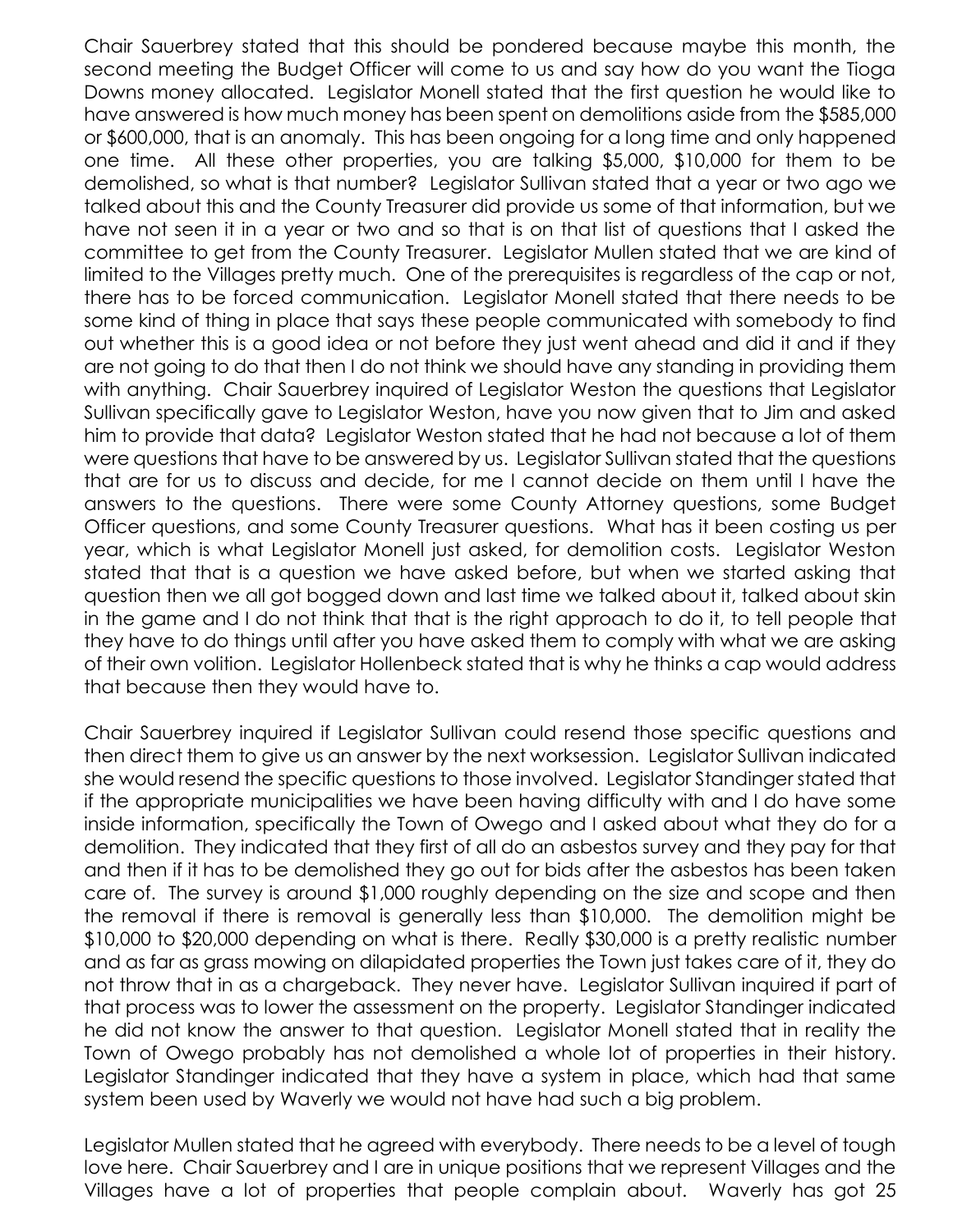Chair Sauerbrey stated that this should be pondered because maybe this month, the second meeting the Budget Officer will come to us and say how do you want the Tioga Downs money allocated. Legislator Monell stated that the first question he would like to have answered is how much money has been spent on demolitions aside from the \$585,000 or \$600,000, that is an anomaly. This has been ongoing for a long time and only happened one time. All these other properties, you are talking \$5,000, \$10,000 for them to be demolished, so what is that number? Legislator Sullivan stated that a year or two ago we talked about this and the County Treasurer did provide us some of that information, but we have not seen it in a year or two and so that is on that list of questions that I asked the committee to get from the County Treasurer. Legislator Mullen stated that we are kind of limited to the Villages pretty much. One of the prerequisites is regardless of the cap or not, there has to be forced communication. Legislator Monell stated that there needs to be some kind of thing in place that says these people communicated with somebody to find out whether this is a good idea or not before they just went ahead and did it and if they are not going to do that then I do not think we should have any standing in providing them with anything. Chair Sauerbrey inquired of Legislator Weston the questions that Legislator Sullivan specifically gave to Legislator Weston, have you now given that to Jim and asked him to provide that data? Legislator Weston stated that he had not because a lot of them were questions that have to be answered by us. Legislator Sullivan stated that the questions that are for us to discuss and decide, for me I cannot decide on them until I have the answers to the questions. There were some County Attorney questions, some Budget Officer questions, and some County Treasurer questions. What has it been costing us per year, which is what Legislator Monell just asked, for demolition costs. Legislator Weston stated that that is a question we have asked before, but when we started asking that question then we all got bogged down and last time we talked about it, talked about skin in the game and I do not think that that is the right approach to do it, to tell people that they have to do things until after you have asked them to comply with what we are asking of their own volition. Legislator Hollenbeck stated that is why he thinks a cap would address that because then they would have to.

Chair Sauerbrey inquired if Legislator Sullivan could resend those specific questions and then direct them to give us an answer by the next worksession. Legislator Sullivan indicated she would resend the specific questions to those involved. Legislator Standinger stated that if the appropriate municipalities we have been having difficulty with and I do have some inside information, specifically the Town of Owego and I asked about what they do for a demolition. They indicated that they first of all do an asbestos survey and they pay for that and then if it has to be demolished they go out for bids after the asbestos has been taken care of. The survey is around \$1,000 roughly depending on the size and scope and then the removal if there is removal is generally less than \$10,000. The demolition might be \$10,000 to \$20,000 depending on what is there. Really \$30,000 is a pretty realistic number and as far as grass mowing on dilapidated properties the Town just takes care of it, they do not throw that in as a chargeback. They never have. Legislator Sullivan inquired if part of that process was to lower the assessment on the property. Legislator Standinger indicated he did not know the answer to that question. Legislator Monell stated that in reality the Town of Owego probably has not demolished a whole lot of properties in their history. Legislator Standinger indicated that they have a system in place, which had that same system been used by Waverly we would not have had such a big problem.

Legislator Mullen stated that he agreed with everybody. There needs to be a level of tough love here. Chair Sauerbrey and I are in unique positions that we represent Villages and the Villages have a lot of properties that people complain about. Waverly has got 25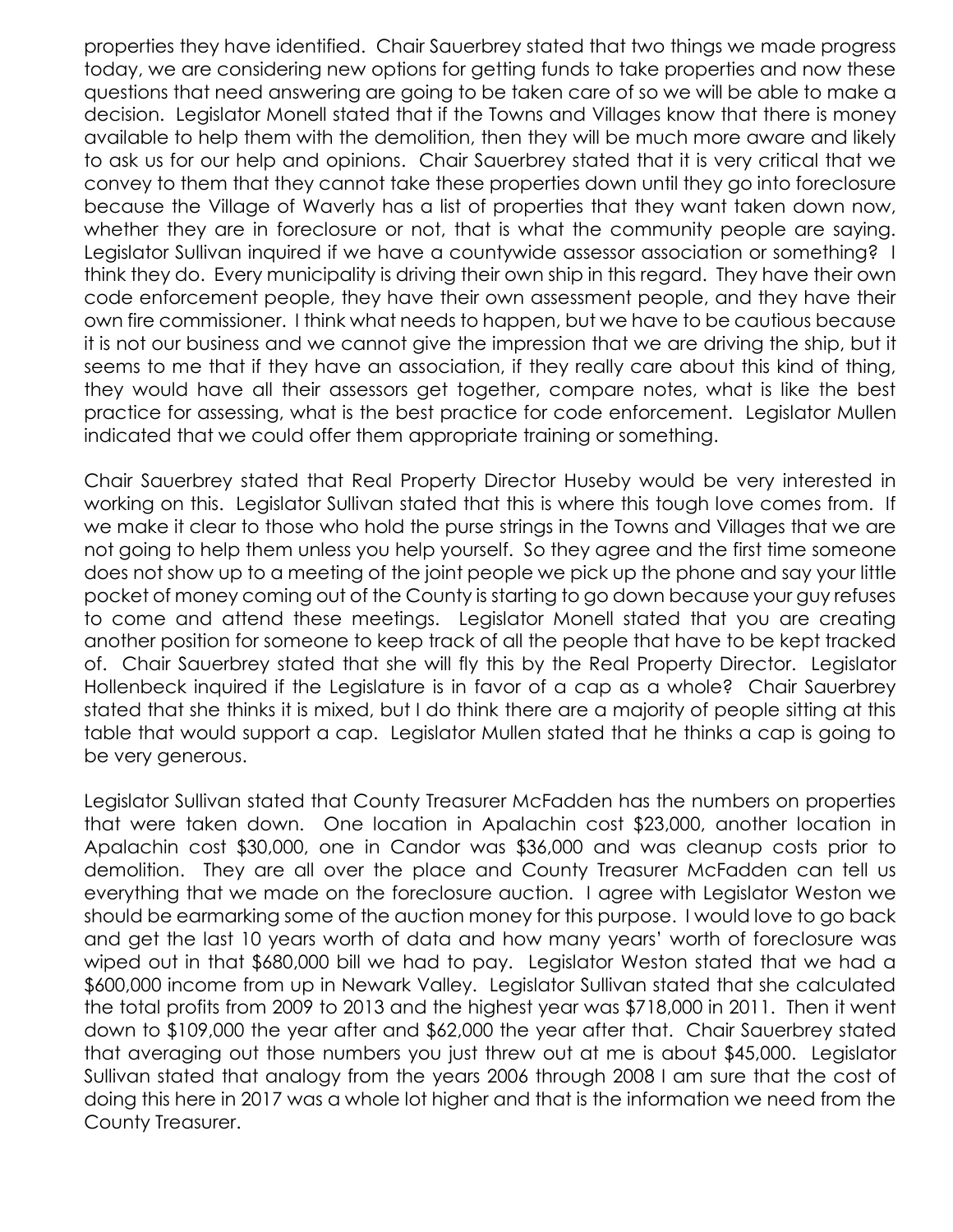properties they have identified. Chair Sauerbrey stated that two things we made progress today, we are considering new options for getting funds to take properties and now these questions that need answering are going to be taken care of so we will be able to make a decision. Legislator Monell stated that if the Towns and Villages know that there is money available to help them with the demolition, then they will be much more aware and likely to ask us for our help and opinions. Chair Sauerbrey stated that it is very critical that we convey to them that they cannot take these properties down until they go into foreclosure because the Village of Waverly has a list of properties that they want taken down now, whether they are in foreclosure or not, that is what the community people are saying. Legislator Sullivan inquired if we have a countywide assessor association or something? I think they do. Every municipality is driving their own ship in this regard. They have their own code enforcement people, they have their own assessment people, and they have their own fire commissioner. I think what needs to happen, but we have to be cautious because it is not our business and we cannot give the impression that we are driving the ship, but it seems to me that if they have an association, if they really care about this kind of thing, they would have all their assessors get together, compare notes, what is like the best practice for assessing, what is the best practice for code enforcement. Legislator Mullen indicated that we could offer them appropriate training or something.

Chair Sauerbrey stated that Real Property Director Huseby would be very interested in working on this. Legislator Sullivan stated that this is where this tough love comes from. If we make it clear to those who hold the purse strings in the Towns and Villages that we are not going to help them unless you help yourself. So they agree and the first time someone does not show up to a meeting of the joint people we pick up the phone and say your little pocket of money coming out of the County is starting to go down because your guy refuses to come and attend these meetings. Legislator Monell stated that you are creating another position for someone to keep track of all the people that have to be kept tracked of. Chair Sauerbrey stated that she will fly this by the Real Property Director. Legislator Hollenbeck inquired if the Legislature is in favor of a cap as a whole? Chair Sauerbrey stated that she thinks it is mixed, but I do think there are a majority of people sitting at this table that would support a cap. Legislator Mullen stated that he thinks a cap is going to be very generous.

Legislator Sullivan stated that County Treasurer McFadden has the numbers on properties that were taken down. One location in Apalachin cost \$23,000, another location in Apalachin cost \$30,000, one in Candor was \$36,000 and was cleanup costs prior to demolition. They are all over the place and County Treasurer McFadden can tell us everything that we made on the foreclosure auction. I agree with Legislator Weston we should be earmarking some of the auction money for this purpose. I would love to go back and get the last 10 years worth of data and how many years' worth of foreclosure was wiped out in that \$680,000 bill we had to pay. Legislator Weston stated that we had a \$600,000 income from up in Newark Valley. Legislator Sullivan stated that she calculated the total profits from 2009 to 2013 and the highest year was \$718,000 in 2011. Then it went down to \$109,000 the year after and \$62,000 the year after that. Chair Sauerbrey stated that averaging out those numbers you just threw out at me is about \$45,000. Legislator Sullivan stated that analogy from the years 2006 through 2008 I am sure that the cost of doing this here in 2017 was a whole lot higher and that is the information we need from the County Treasurer.